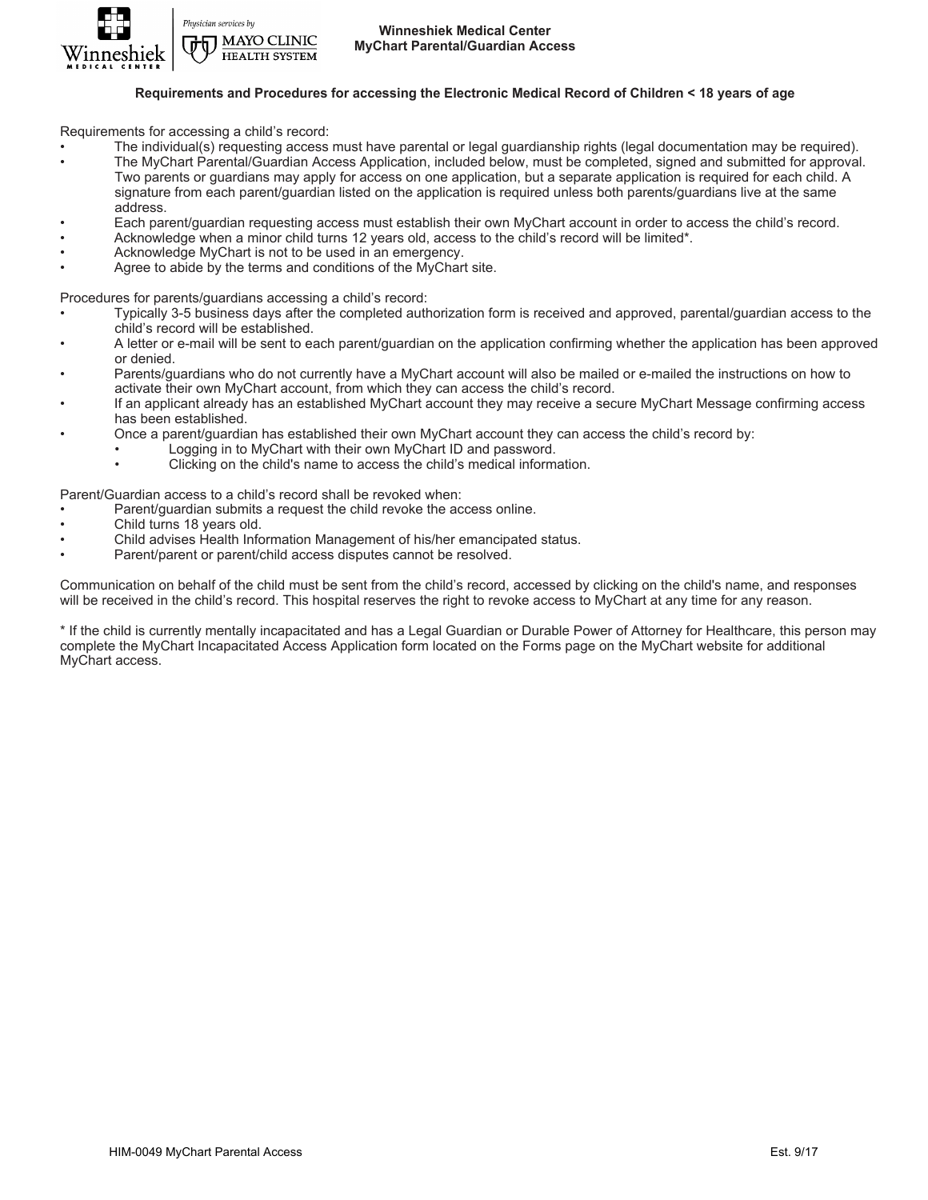

Physician services by **T MAYO CLINIC HEALTH SYSTEM** 

## **Requirements and Procedures for accessing the Electronic Medical Record of Children < 18 years of age**

Requirements for accessing a child's record:

- The individual(s) requesting access must have parental or legal guardianship rights (legal documentation may be required).
- The MyChart Parental/Guardian Access Application, included below, must be completed, signed and submitted for approval. Two parents or guardians may apply for access on one application, but a separate application is required for each child. A signature from each parent/guardian listed on the application is required unless both parents/guardians live at the same address.
- Each parent/guardian requesting access must establish their own MyChart account in order to access the child's record.
- Acknowledge when a minor child turns 12 years old, access to the child's record will be limited\*.
- Acknowledge MyChart is not to be used in an emergency.
- Agree to abide by the terms and conditions of the MyChart site.

Procedures for parents/guardians accessing a child's record:

- Typically 3-5 business days after the completed authorization form is received and approved, parental/guardian access to the child's record will be established.
- A letter or e-mail will be sent to each parent/guardian on the application confirming whether the application has been approved or denied.
- Parents/guardians who do not currently have a MyChart account will also be mailed or e-mailed the instructions on how to activate their own MyChart account, from which they can access the child's record.
- If an applicant already has an established MyChart account they may receive a secure MyChart Message confirming access has been established.
- Once a parent/guardian has established their own MyChart account they can access the child's record by:
	- Logging in to MyChart with their own MyChart ID and password.
	- Clicking on the child's name to access the child's medical information.

Parent/Guardian access to a child's record shall be revoked when:

- Parent/guardian submits a request the child revoke the access online.
- Child turns 18 years old.
- Child advises Health Information Management of his/her emancipated status.
- Parent/parent or parent/child access disputes cannot be resolved.

Communication on behalf of the child must be sent from the child's record, accessed by clicking on the child's name, and responses will be received in the child's record. This hospital reserves the right to revoke access to MyChart at any time for any reason.

\* If the child is currently mentally incapacitated and has a Legal Guardian or Durable Power of Attorney for Healthcare, this person may complete the MyChart Incapacitated Access Application form located on the Forms page on the MyChart website for additional MyChart access.